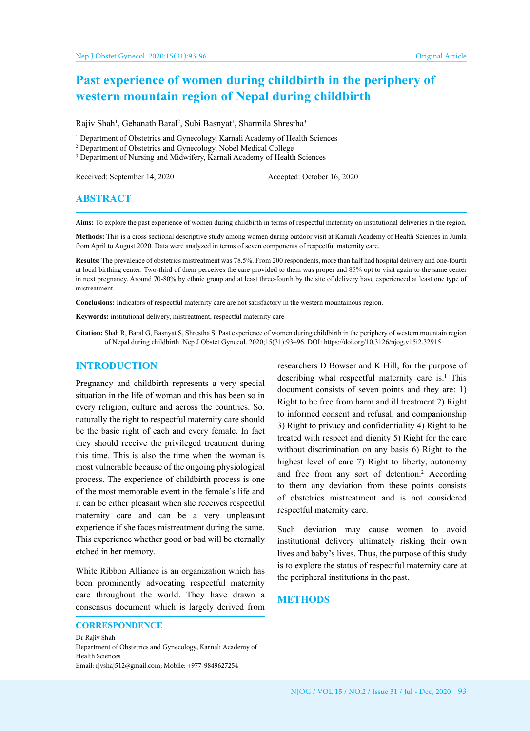# **Past experience of women during childbirth in the periphery of western mountain region of Nepal during childbirth**

Rajiv Shah<sup>1</sup>, Gehanath Baral<sup>2</sup>, Subi Basnyat<sup>1</sup>, Sharmila Shrestha<sup>3</sup>

- <sup>1</sup> Department of Obstetrics and Gynecology, Karnali Academy of Health Sciences
- 2 Department of Obstetrics and Gynecology, Nobel Medical College
- <sup>3</sup> Department of Nursing and Midwifery, Karnali Academy of Health Sciences

Received: September 14, 2020 Accepted: October 16, 2020

# **ABSTRACT**

**Aims:** To explore the past experience of women during childbirth in terms of respectful maternity on institutional deliveries in the region.

**Methods:** This is a cross sectional descriptive study among women during outdoor visit at Karnali Academy of Health Sciences in Jumla from April to August 2020. Data were analyzed in terms of seven components of respectful maternity care.

**Results:** The prevalence of obstetrics mistreatment was 78.5%. From 200 respondents, more than half had hospital delivery and one-fourth at local birthing center. Two-third of them perceives the care provided to them was proper and 85% opt to visit again to the same center in next pregnancy. Around 70-80% by ethnic group and at least three-fourth by the site of delivery have experienced at least one type of mistreatment.

**Conclusions:** Indicators of respectful maternity care are not satisfactory in the western mountainous region.

**Keywords:** institutional delivery, mistreatment, respectful maternity care

**Citation:** Shah R, Baral G, Basnyat S, Shrestha S. Past experience of women during childbirth in the periphery of western mountain region of Nepal during childbirth. Nep J Obstet Gynecol. 2020;15(31):93–96. DOI: https://doi.org/10.3126/njog.v15i2.32915

#### **INTRODUCTION**

Pregnancy and childbirth represents a very special situation in the life of woman and this has been so in every religion, culture and across the countries. So, naturally the right to respectful maternity care should be the basic right of each and every female. In fact they should receive the privileged treatment during this time. This is also the time when the woman is most vulnerable because of the ongoing physiological process. The experience of childbirth process is one of the most memorable event in the female's life and it can be either pleasant when she receives respectful maternity care and can be a very unpleasant experience if she faces mistreatment during the same. This experience whether good or bad will be eternally etched in her memory.

White Ribbon Alliance is an organization which has been prominently advocating respectful maternity care throughout the world. They have drawn a consensus document which is largely derived from

Dr Rajiv Shah Department of Obstetrics and Gynecology, Karnali Academy of Health Sciences Email: rjvshaj512@gmail.com; Mobile: +977-9849627254

researchers D Bowser and K Hill, for the purpose of describing what respectful maternity care is. $<sup>1</sup>$  This</sup> document consists of seven points and they are: 1) Right to be free from harm and ill treatment 2) Right to informed consent and refusal, and companionship 3) Right to privacy and confidentiality 4) Right to be treated with respect and dignity 5) Right for the care without discrimination on any basis 6) Right to the highest level of care 7) Right to liberty, autonomy and free from any sort of detention.<sup>2</sup> According to them any deviation from these points consists of obstetrics mistreatment and is not considered respectful maternity care.

Such deviation may cause women to avoid institutional delivery ultimately risking their own lives and baby's lives. Thus, the purpose of this study is to explore the status of respectful maternity care at the peripheral institutions in the past.

## **METHODS**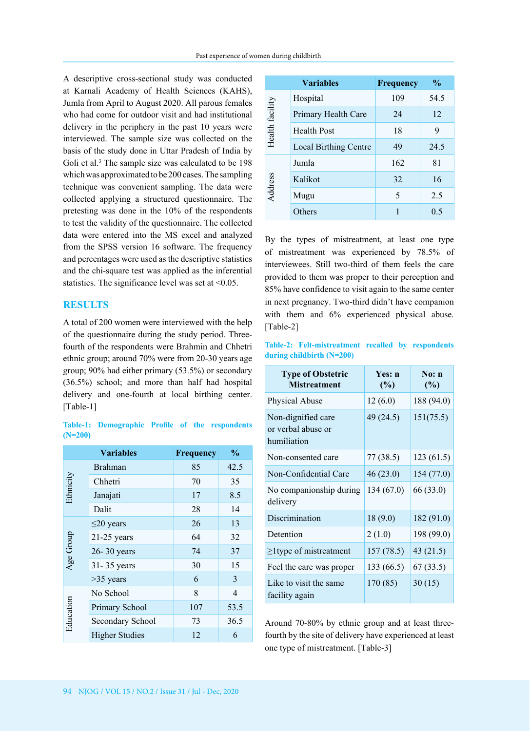A descriptive cross-sectional study was conducted at Karnali Academy of Health Sciences (KAHS), Jumla from April to August 2020. All parous females who had come for outdoor visit and had institutional delivery in the periphery in the past 10 years were interviewed. The sample size was collected on the basis of the study done in Uttar Pradesh of India by Goli et al.<sup>3</sup> The sample size was calculated to be 198 which was approximated to be 200 cases. The sampling technique was convenient sampling. The data were collected applying a structured questionnaire. The pretesting was done in the 10% of the respondents to test the validity of the questionnaire. The collected data were entered into the MS excel and analyzed from the SPSS version 16 software. The frequency and percentages were used as the descriptive statistics and the chi-square test was applied as the inferential statistics. The significance level was set at  $\leq 0.05$ .

# **RESULTS**

A total of 200 women were interviewed with the help of the questionnaire during the study period. Threefourth of the respondents were Brahmin and Chhetri ethnic group; around 70% were from 20-30 years age group; 90% had either primary (53.5%) or secondary (36.5%) school; and more than half had hospital delivery and one-fourth at local birthing center. [Table-1]

|           | Table-1: Demographic Profile of the respondents |  |  |
|-----------|-------------------------------------------------|--|--|
| $(N=200)$ |                                                 |  |  |

|           | <b>Variables</b>      | <b>Frequency</b> | $\frac{0}{0}$ |
|-----------|-----------------------|------------------|---------------|
| Ethnicity | <b>Brahman</b>        | 85               | 42.5          |
|           | Chhetri               | 70               | 35            |
|           | Janajati              | 17               | 8.5           |
|           | Dalit                 | 28               | 14            |
| Age Group | $\leq$ 20 years       | 26               | 13            |
|           | $21-25$ years         | 64               | 32            |
|           | 26-30 years           | 74               | 37            |
|           | 31-35 years           | 30               | 15            |
|           | $>35$ years           | 6                | 3             |
| Education | No School             | 8                | 4             |
|           | Primary School        | 107              | 53.5          |
|           | Secondary School      | 73               | 36.5          |
|           | <b>Higher Studies</b> | 12               | 6             |

| <b>Variables</b>             | <b>Frequency</b> | $\frac{0}{0}$ |
|------------------------------|------------------|---------------|
| Hospital                     | 109              | 54.5          |
| Primary Health Care          | 24               | 12            |
| <b>Health Post</b>           | 18               | 9             |
| <b>Local Birthing Centre</b> | 49               | 24.5          |
| Jumla                        | 162              | 81            |
| Kalikot                      | 32               | 16            |
| Mugu                         | 5                | 2.5           |
| Others                       | 1                | 0.5           |
|                              |                  |               |

By the types of mistreatment, at least one type of mistreatment was experienced by 78.5% of interviewees. Still two-third of them feels the care provided to them was proper to their perception and 85% have confidence to visit again to the same center in next pregnancy. Two-third didn't have companion with them and 6% experienced physical abuse. [Table-2]

#### **Table-2: Felt-mistreatment recalled by respondents during childbirth (N=200)**

| <b>Type of Obstetric</b><br><b>Mistreatment</b>         | Yes: n<br>(%) | $\mathrm{No:}\ \mathbf{n}$<br>(%) |
|---------------------------------------------------------|---------------|-----------------------------------|
| <b>Physical Abuse</b>                                   | 12(6.0)       | 188 (94.0)                        |
| Non-dignified care<br>or verbal abuse or<br>humiliation | 49 (24.5)     | 151(75.5)                         |
| Non-consented care                                      | 77 (38.5)     | 123(61.5)                         |
| Non-Confidential Care                                   | 46 (23.0)     | 154(77.0)                         |
| No companionship during<br>delivery                     | 134(67.0)     | 66 (33.0)                         |
| Discrimination                                          | 18(9.0)       | 182(91.0)                         |
| Detention                                               | 2(1.0)        | 198 (99.0)                        |
| $\geq$ 1 type of mistreatment                           | 157(78.5)     | 43 $(21.5)$                       |
| Feel the care was proper                                | 133 (66.5)    | 67(33.5)                          |
| Like to visit the same<br>facility again                | 170 (85)      | 30(15)                            |

Around 70-80% by ethnic group and at least threefourth by the site of delivery have experienced at least one type of mistreatment. [Table-3]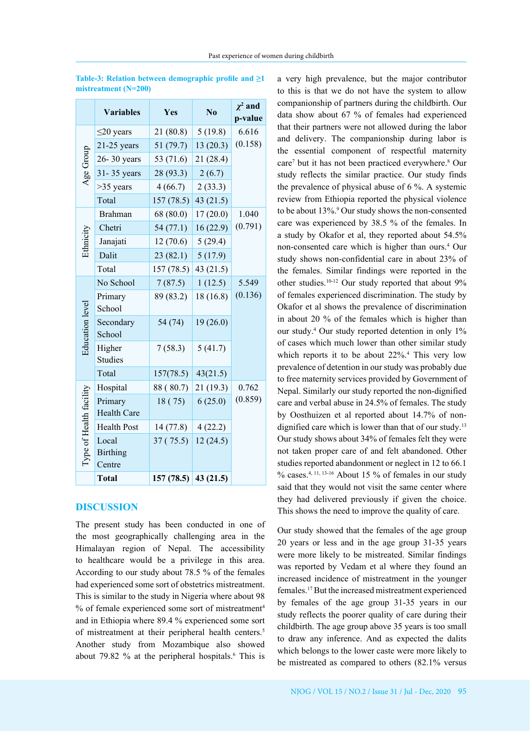|                         | <b>Variables</b>                   | Yes       | No          | $\chi^2$ and<br>p-value |
|-------------------------|------------------------------------|-----------|-------------|-------------------------|
| Age Group               | $\leq$ 20 years                    | 21(80.8)  | 5(19.8)     | 6.616                   |
|                         | $21-25$ years                      | 51(79.7)  | 13(20.3)    | (0.158)                 |
|                         | 26-30 years                        | 53 (71.6) | 21 (28.4)   |                         |
|                         | 31-35 years                        | 28(93.3)  | 2(6.7)      |                         |
|                         | $>35$ years                        | 4(66.7)   | 2(33.3)     |                         |
|                         | Total                              | 157(78.5) | 43(21.5)    |                         |
|                         | <b>Brahman</b>                     | 68(80.0)  | 17(20.0)    | 1.040                   |
|                         | Chetri                             | 54(77.1)  | 16(22.9)    | (0.791)                 |
| Ethnicity               | Janajati                           | 12(70.6)  | 5(29.4)     |                         |
|                         | Dalit                              | 23(82.1)  | 5(17.9)     |                         |
|                         | Total                              | 157(78.5) | 43 $(21.5)$ |                         |
| <b>Education</b> level  | No School                          | 7(87.5)   | 1(12.5)     | 5.549                   |
|                         | Primary<br>School                  | 89 (83.2) | 18(16.8)    | (0.136)                 |
|                         | Secondary<br>School                | 54 (74)   | 19(26.0)    |                         |
|                         | Higher<br><b>Studies</b>           | 7(58.3)   | 5(41.7)     |                         |
|                         | Total                              | 157(78.5) | 43(21.5)    |                         |
| Type of Health facility | Hospital                           | 88 (80.7) | 21(19.3)    | 0.762                   |
|                         | Primary<br><b>Health Care</b>      | 18(75)    | 6(25.0)     | (0.859)                 |
|                         | <b>Health Post</b>                 | 14(77.8)  | 4(22.2)     |                         |
|                         | Local<br><b>Birthing</b><br>Centre | 37(75.5)  | 12(24.5)    |                         |
|                         | <b>Total</b>                       | 157(78.5) | 43(21.5)    |                         |

**Table-3: Relation between demographic profile and ≥1 mistreatment (N=200)**

## **DISCUSSION**

The present study has been conducted in one of the most geographically challenging area in the Himalayan region of Nepal. The accessibility to healthcare would be a privilege in this area. According to our study about 78.5 % of the females had experienced some sort of obstetrics mistreatment. This is similar to the study in Nigeria where about 98 % of female experienced some sort of mistreatment<sup>4</sup> and in Ethiopia where 89.4 % experienced some sort of mistreatment at their peripheral health centers.<sup>5</sup> Another study from Mozambique also showed about 79.82  $\%$  at the peripheral hospitals.<sup>6</sup> This is a very high prevalence, but the major contributor to this is that we do not have the system to allow companionship of partners during the childbirth. Our data show about 67 % of females had experienced that their partners were not allowed during the labor and delivery. The companionship during labor is the essential component of respectful maternity care7 but it has not been practiced everywhere.8 Our study reflects the similar practice. Our study finds the prevalence of physical abuse of 6 %. A systemic review from Ethiopia reported the physical violence to be about 13%.<sup>9</sup> Our study shows the non-consented care was experienced by 38.5 % of the females. In a study by Okafor et al, they reported about 54.5% non-consented care which is higher than ours.4 Our study shows non-confidential care in about 23% of the females. Similar findings were reported in the other studies.10-12 Our study reported that about 9% of females experienced discrimination. The study by Okafor et al shows the prevalence of discrimination in about 20 % of the females which is higher than our study.4 Our study reported detention in only 1% of cases which much lower than other similar study which reports it to be about  $22\%$ .<sup>4</sup> This very low prevalence of detention in our study was probably due to free maternity services provided by Government of Nepal. Similarly our study reported the non-dignified care and verbal abuse in 24.5% of females. The study by Oosthuizen et al reported about 14.7% of nondignified care which is lower than that of our study.<sup>13</sup> Our study shows about 34% of females felt they were not taken proper care of and felt abandoned. Other studies reported abandonment or neglect in 12 to 66.1  $\%$  cases.<sup>4, 11, 13-16</sup> About 15 % of females in our study said that they would not visit the same center where they had delivered previously if given the choice. This shows the need to improve the quality of care.

Our study showed that the females of the age group 20 years or less and in the age group 31-35 years were more likely to be mistreated. Similar findings was reported by Vedam et al where they found an increased incidence of mistreatment in the younger females.17 But the increased mistreatment experienced by females of the age group 31-35 years in our study reflects the poorer quality of care during their childbirth. The age group above 35 years is too small to draw any inference. And as expected the dalits which belongs to the lower caste were more likely to be mistreated as compared to others (82.1% versus